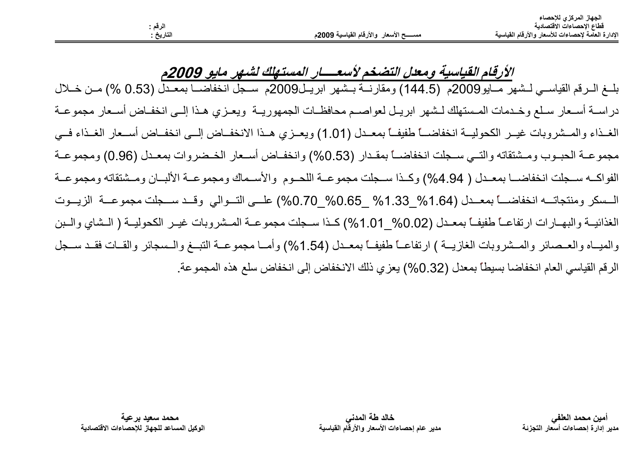مسســـح الأسعار والأرقام القياسية 2009م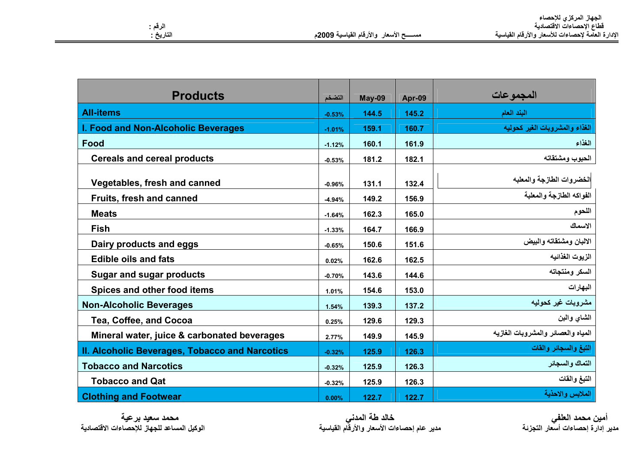| <b>Products</b>                                | التضخم   | May-09 | Apr-09 | المجموعات                          |
|------------------------------------------------|----------|--------|--------|------------------------------------|
| <b>All-items</b>                               | $-0.53%$ | 144.5  | 145.2  | البند العام                        |
| I. Food and Non-Alcoholic Beverages            | $-1.01%$ | 159.1  | 160.7  | الغذاء والمشروبات الغير كحوليه     |
| Food                                           | $-1.12%$ | 160.1  | 161.9  | الغذاء                             |
| <b>Cereals and cereal products</b>             | $-0.53%$ | 181.2  | 182.1  | الحبوب ومشتقاته                    |
| Vegetables, fresh and canned                   | $-0.96%$ | 131.1  | 132.4  | الخضروات الطازجة والمعلبه          |
| Fruits, fresh and canned                       | $-4.94%$ | 149.2  | 156.9  | الفواكه الطازجة والمعلبة           |
| <b>Meats</b>                                   | $-1.64%$ | 162.3  | 165.0  | اللحوم                             |
| Fish                                           | $-1.33%$ | 164.7  | 166.9  | الاسماك                            |
| Dairy products and eggs                        | $-0.65%$ | 150.6  | 151.6  | الالبان ومشتقاته والبيض            |
| <b>Edible oils and fats</b>                    | 0.02%    | 162.6  | 162.5  | الزيوت الغذائيه                    |
| <b>Sugar and sugar products</b>                | $-0.70%$ | 143.6  | 144.6  | السكر ومنتجاته                     |
| Spices and other food items                    | 1.01%    | 154.6  | 153.0  | البهارات                           |
| <b>Non-Alcoholic Beverages</b>                 | 1.54%    | 139.3  | 137.2  | مشروبات غير كحوليه                 |
| <b>Tea, Coffee, and Cocoa</b>                  | 0.25%    | 129.6  | 129.3  | الشاي والمبن                       |
| Mineral water, juice & carbonated beverages    | 2.77%    | 149.9  | 145.9  | المياه والعصائر والمشروبات الغازيه |
| II. Alcoholic Beverages, Tobacco and Narcotics | $-0.32%$ | 125.9  | 126.3  | التبغ والسجائر والقات              |
| <b>Tobacco and Narcotics</b>                   | $-0.32%$ | 125.9  | 126.3  | التماك والسجائر                    |
| <b>Tobacco and Qat</b>                         | $-0.32%$ | 125.9  | 126.3  | التبغ والقات                       |
| <b>Clothing and Footwear</b>                   | 0.00%    | 122.7  | 122.7  | الملابس والاحذية                   |

أمين محمد العلفي<br>مدير إدارة إحصاءات أسعار التجزئة

محمد سعيد برعية الوكيل المساعد للجهاز للإحصاءات الاقتصادية خالد طة المدني<br>مدير عام إحصاءات الأسعار والأرقام القياسية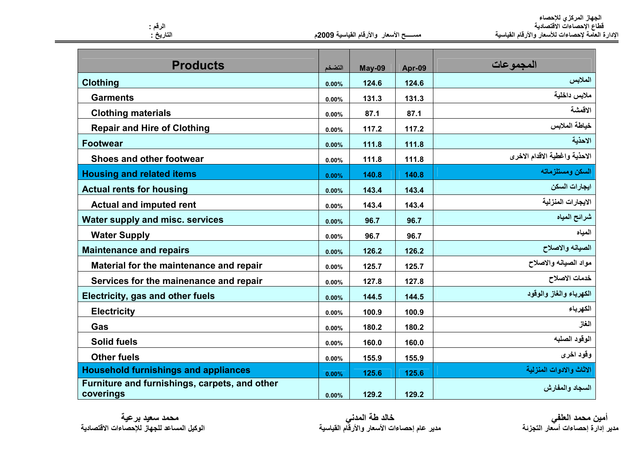الجهاز المركزي للإحصاء<br>قطاع الإحصاءات الاقتصادية<br>الإدارة العامة لإحصاءات للأسعار والأرقام القياسية

مسسسح الأسعار والأرقام القياسية 2009م

| <b>Products</b>                                            | التضخم            | May-09 | Apr-09 | المجموعات                     |
|------------------------------------------------------------|-------------------|--------|--------|-------------------------------|
| Clothing                                                   | 0.00%             | 124.6  | 124.6  | الملابس                       |
| <b>Garments</b>                                            | 0.00%             | 131.3  | 131.3  | ملابس داخلية                  |
| <b>Clothing materials</b>                                  | 0.00%             | 87.1   | 87.1   | الاقمشة                       |
| <b>Repair and Hire of Clothing</b>                         | 0.00%             | 117.2  | 117.2  | خياطة الملابس                 |
| <b>Footwear</b>                                            | 0.00%             | 111.8  | 111.8  | الاحذية                       |
| Shoes and other footwear                                   | 0.00%             | 111.8  | 111.8  | الاحذية واغطية الاقدام الاخرى |
| <b>Housing and related items</b>                           | 0.00%             | 140.8  | 140.8  | السكن ومستلزماته              |
| <b>Actual rents for housing</b>                            | 0.00%             | 143.4  | 143.4  | ايجارات السكن                 |
| <b>Actual and imputed rent</b>                             | 0.00%             | 143.4  | 143.4  | الايجارات المنزلية            |
| Water supply and misc. services                            | 0.00%             | 96.7   | 96.7   | شرائح المياه                  |
| <b>Water Supply</b>                                        | 0.00%             | 96.7   | 96.7   | المياه                        |
| <b>Maintenance and repairs</b>                             | 0.00%             | 126.2  | 126.2  | الصيانه والاصلاح              |
| Material for the maintenance and repair                    | 0.00%             | 125.7  | 125.7  | مواد الصيانه والاصلاح         |
| Services for the mainenance and repair                     | 0.00%             | 127.8  | 127.8  | خدمات الاصلاح                 |
| Electricity, gas and other fuels                           | 0.00%             | 144.5  | 144.5  | الكهرباء والغاز والوقود       |
| <b>Electricity</b>                                         | 0.00%             | 100.9  | 100.9  | الكهرباء                      |
| Gas                                                        | 0.00%             | 180.2  | 180.2  | الغاز                         |
| <b>Solid fuels</b>                                         | 0.00%             | 160.0  | 160.0  | الوقود الصلبه                 |
| <b>Other fuels</b>                                         | 0.00%             | 155.9  | 155.9  | وقود اخرى                     |
| <b>Household furnishings and appliances</b>                | 0.00%             | 125.6  | 125.6  | الاثاث والادوات المنزلية      |
| Furniture and furnishings, carpets, and other<br>coverings | n nn <sup>o</sup> | 1292   | 1292   | السجاد والمفارش               |

محمد سعيد برعية الوكيل المساعد للجهاز للإحصاءات الاقتصادية

الرقم :<br>التاريخ :

خالد طة المدني<br>مدير عام إحصاءات الأسعار والأرقام القياسية

أمين محمد العلفي<br>مدير إدارة إحصاءات أسعار التجزئة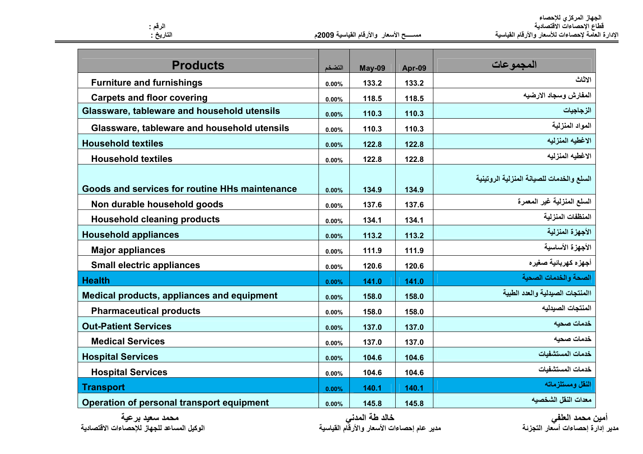|                                                |        |        |        | المجموعات                                 |
|------------------------------------------------|--------|--------|--------|-------------------------------------------|
| <b>Products</b>                                | التضخم | May-09 | Apr-09 |                                           |
| <b>Furniture and furnishings</b>               | 0.00%  | 133.2  | 133.2  | الاثاث                                    |
| <b>Carpets and floor covering</b>              | 0.00%  | 118.5  | 118.5  | المفارش وسجاد الارضيه                     |
| Glassware, tableware and household utensils    | 0.00%  | 110.3  | 110.3  | الزجاجيات                                 |
| Glassware, tableware and household utensils    | 0.00%  | 110.3  | 110.3  | المواد المنزلية                           |
| <b>Household textiles</b>                      | 0.00%  | 122.8  | 122.8  | الاغطيه المنزليه                          |
| <b>Household textiles</b>                      | 0.00%  | 122.8  | 122.8  | الاغطيه المنزليه                          |
|                                                |        |        |        | السلع والخدمات للصيانة المنزلية الروتينية |
| Goods and services for routine HHs maintenance | 0.00%  | 134.9  | 134.9  |                                           |
| Non durable household goods                    | 0.00%  | 137.6  | 137.6  | السلع المنزلية غير المعمرة                |
| <b>Household cleaning products</b>             | 0.00%  | 134.1  | 134.1  | المنظفات المنزلية                         |
| <b>Household appliances</b>                    | 0.00%  | 113.2  | 113.2  | الأجهزة المنزلية                          |
| <b>Major appliances</b>                        | 0.00%  | 111.9  | 111.9  | الأجهزة الأساسية                          |
| <b>Small electric appliances</b>               | 0.00%  | 120.6  | 120.6  | أجهزه كهربائية صغيره                      |
| <b>Health</b>                                  | 0.00%  | 141.0  | 141.0  | الصحة والخدمات الصحية                     |
| Medical products, appliances and equipment     | 0.00%  | 158.0  | 158.0  | االمنتجات الصيدلية والعدد الطبية          |
| <b>Pharmaceutical products</b>                 | 0.00%  | 158.0  | 158.0  | المنتجات الصيدليه                         |
| <b>Out-Patient Services</b>                    | 0.00%  | 137.0  | 137.0  | خدمات صحبه                                |
| <b>Medical Services</b>                        | 0.00%  | 137.0  | 137.0  | خدمات صحيه                                |
| <b>Hospital Services</b>                       | 0.00%  | 104.6  | 104.6  | خدمات المستشفبات                          |
| <b>Hospital Services</b>                       | 0.00%  | 104.6  | 104.6  | خدمات المستشفيات                          |
| <b>Transport</b>                               | 0.00%  | 140.1  | 140.1  | النقل ومستلزماته                          |
| Operation of personal transport equipment      | 0.00%  | 145.8  | 145.8  | معدات النقل الشخصبه                       |

محمد سعيد برعية الوكيل المساعد للجهاز للإحصاءات الاقتصادية خالد طة المدني<br>مدير عام إحصاءات الأسعار والأرقام القياسية

أمين محمد العلفي<br>مدير إدارة إحصاءات أسعار التجزئة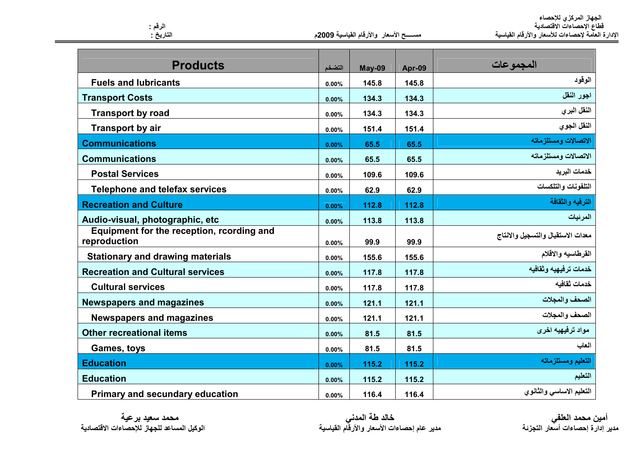| الجهاز المركزي للإحصاء                            |
|---------------------------------------------------|
| فطاع الإحصاءات الاقتصادية                         |
| الإدارة العامة لإحصاءات للأسعار والأرقام القياسية |

الوقود

اجور النقل

النقل البرى

النقل الجوى

التعليم

التعليم ومستلزماته

الاتصالات ومستلزماته

المجمو عات

مســــــح الأسعار والأرقام القياسية 2009م

التضخم

 $0.00%$ 

 $0.00%$ 

 $0.00%$ 

 $0.00%$ 

**May-09** 

145.8

134.3

134.3

151.4

Apr-09

145.8

134.3

134.3

151.4

115.2

115.2

116.4

| الاتصالات ومستلزماته              | 65.5  | 65.5  | $0.00\%$ | <b>Communications</b>                                     |
|-----------------------------------|-------|-------|----------|-----------------------------------------------------------|
| الاتصالات ومستلزماته              | 65.5  | 65.5  | $0.00\%$ | <b>Communications</b>                                     |
| خدمات البر يد                     | 109.6 | 109.6 | $0.00\%$ | <b>Postal Services</b>                                    |
| التلفونات والتلكسات               | 62.9  | 62.9  | $0.00\%$ | <b>Telephone and telefax services</b>                     |
| الترفيه والثقافة                  | 112.8 | 112.8 | $0.00\%$ | <b>Recreation and Culture</b>                             |
| المرئيات                          | 113.8 | 113.8 | $0.00\%$ | Audio-visual, photographic, etc                           |
| معدات الاستقبال والتسجيل والانتاج | 99.9  | 99.9  | $0.00\%$ | Equipment for the reception, rcording and<br>reproduction |
| القرطاسيه والاقلام                | 155.6 | 155.6 | $0.00\%$ | <b>Stationary and drawing materials</b>                   |
| خدمات ترفيهيه وثقافيه             | 117.8 | 117.8 | $0.00\%$ | <b>Recreation and Cultural services</b>                   |
| خدمات ثقافيه                      | 117.8 | 117.8 | $0.00\%$ | <b>Cultural services</b>                                  |
| الصحف والمجلات                    | 121.1 | 121.1 | $0.00\%$ | <b>Newspapers and magazines</b>                           |
| الصحف والمجلات                    | 121.1 | 121.1 | $0.00\%$ | <b>Newspapers and magazines</b>                           |
| مواد ترفيهيه اخرى                 | 81.5  | 81.5  | $0.00\%$ | <b>Other recreational items</b>                           |
| العاب                             | 81.5  | 81.5  | $0.00\%$ | Games, toys                                               |

أمين محمد العلفي<br>مدير إدارة إحصاءات أسعار التجزئة

التعليم الاساسي والثانوي

محمد سعيد برعية الوكبل المساعد للجهاز للاحصاءات الاقتصادية

**Primary and secundary education** 

**Education** 

**Education** 

الرقم : التاريخ :

**Fuels and lubricants** 

**Transport by road** 

**Transport by air** 

**Transport Costs** 

**Products** 

خالد طة المدن*ي*<br>مدير عام إحصاءات الأسعار والأرقام القياسية

115.2

115.2

116.4

 $0.00%$ 

 $0.00%$ 

 $0.00%$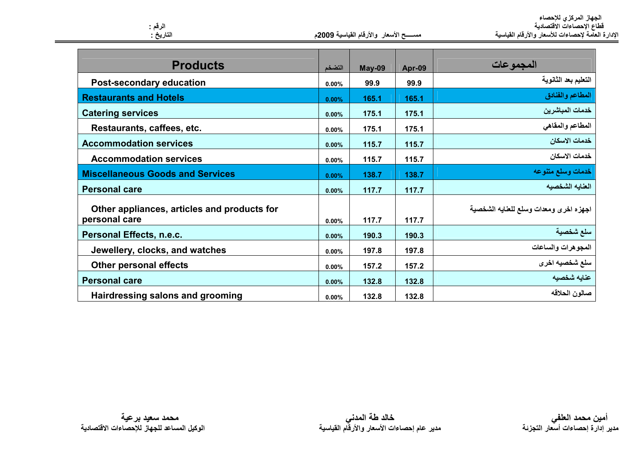| الجهاز المركزي للإحصاء                            |
|---------------------------------------------------|
| فطاع الإحصاءات الاقتصادية                         |
| الإدارة العآمة لإحصاءات للأسعار والأرقام القياسية |

| مســـــح الأسعار  والأرقام القياسية 2009م |  |  |  |  |
|-------------------------------------------|--|--|--|--|
|-------------------------------------------|--|--|--|--|

| <b>Products</b>                                              | التضخم   | May-09 | Apr-09 | المجموعات                              |
|--------------------------------------------------------------|----------|--------|--------|----------------------------------------|
| <b>Post-secondary education</b>                              | 0.00%    | 99.9   | 99.9   | التعليم بعد الثانوية                   |
| <b>Restaurants and Hotels</b>                                | 0.00%    | 165.1  | 165.1  | المطاعم والفنادق                       |
| <b>Catering services</b>                                     | 0.00%    | 175.1  | 175.1  | خدمات المباشرين                        |
| Restaurants, caffees, etc.                                   | 0.00%    | 175.1  | 175.1  | المطاعم والمقاهي                       |
| <b>Accommodation services</b>                                | 0.00%    | 115.7  | 115.7  | خدمات الاسكان                          |
| <b>Accommodation services</b>                                | 0.00%    | 115.7  | 115.7  | خدمات الاسكان                          |
| <b>Miscellaneous Goods and Services</b>                      | 0.00%    | 138.7  | 138.7  | خدمات وسلع متنوعه                      |
| <b>Personal care</b>                                         | 0.00%    | 117.7  | 117.7  | العنابه الشخصبه                        |
| Other appliances, articles and products for<br>personal care | 0.00%    | 117.7  | 117.7  | اجهزه اخرى ومعدات وسلع للعنايه الشخصية |
| Personal Effects, n.e.c.                                     | 0.00%    | 190.3  | 190.3  | سلع شخصية                              |
| Jewellery, clocks, and watches                               | $0.00\%$ | 197.8  | 197.8  | المجوهرات والساعات                     |
| <b>Other personal effects</b>                                | 0.00%    | 157.2  | 157.2  | سلع شخصيه اخرى                         |
| <b>Personal care</b>                                         | 0.00%    | 132.8  | 132.8  | عنايه شخصيه                            |
| Hairdressing salons and grooming                             | 0.00%    | 132.8  | 132.8  | صالون الحلاقه                          |

الرقم :<br>التاريخ :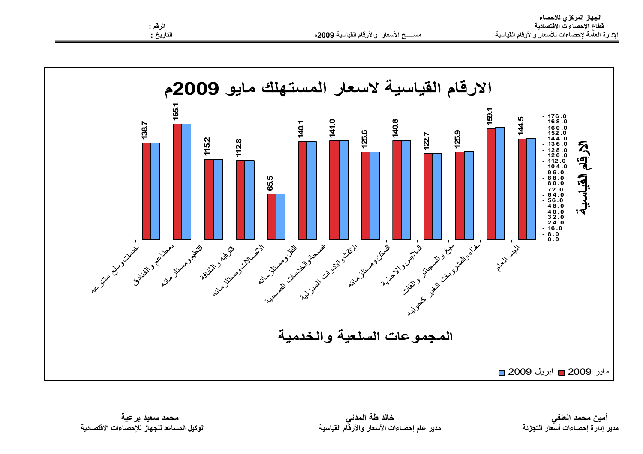

خالد طة المدنى مدير عام إحصاءات الأسعار والأرقّام القياسية